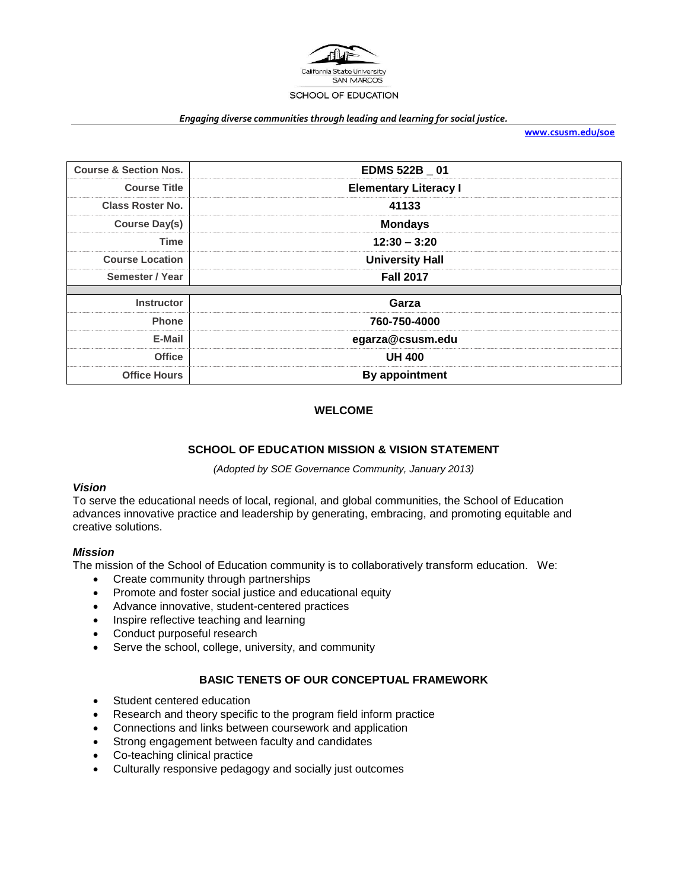

#### *Engaging diverse communities through leading and learning for social justice.*

**[www.csusm.edu/soe](http://www.csusm.edu/soe)**

| <b>Course &amp; Section Nos.</b> | EDMS 522B _ 01               |  |
|----------------------------------|------------------------------|--|
| <b>Course Title</b>              | <b>Elementary Literacy I</b> |  |
| <b>Class Roster No.</b>          | 41133                        |  |
| Course Day(s)                    | <b>Mondays</b>               |  |
| <b>Time</b>                      | $12:30 - 3:20$               |  |
| <b>Course Location</b>           | <b>University Hall</b>       |  |
| Semester / Year                  | <b>Fall 2017</b>             |  |
|                                  |                              |  |
| <b>Instructor</b>                | Garza                        |  |
| <b>Phone</b>                     | 760-750-4000                 |  |
| E-Mail                           | egarza@csusm.edu             |  |
| <b>Office</b>                    | <b>UH 400</b>                |  |
| <b>Office Hours</b>              | <b>By appointment</b>        |  |

## **WELCOME**

### **SCHOOL OF EDUCATION MISSION & VISION STATEMENT**

*(Adopted by SOE Governance Community, January 2013)*

### *Vision*

To serve the educational needs of local, regional, and global communities, the School of Education advances innovative practice and leadership by generating, embracing, and promoting equitable and creative solutions.

#### *Mission*

The mission of the School of Education community is to collaboratively transform education. We:

- Create community through partnerships
- Promote and foster social justice and educational equity
- Advance innovative, student-centered practices
- Inspire reflective teaching and learning
- Conduct purposeful research
- Serve the school, college, university, and community

# **BASIC TENETS OF OUR CONCEPTUAL FRAMEWORK**

- Student centered education
- Research and theory specific to the program field inform practice
- Connections and links between coursework and application
- Strong engagement between faculty and candidates
- Co-teaching clinical practice
- Culturally responsive pedagogy and socially just outcomes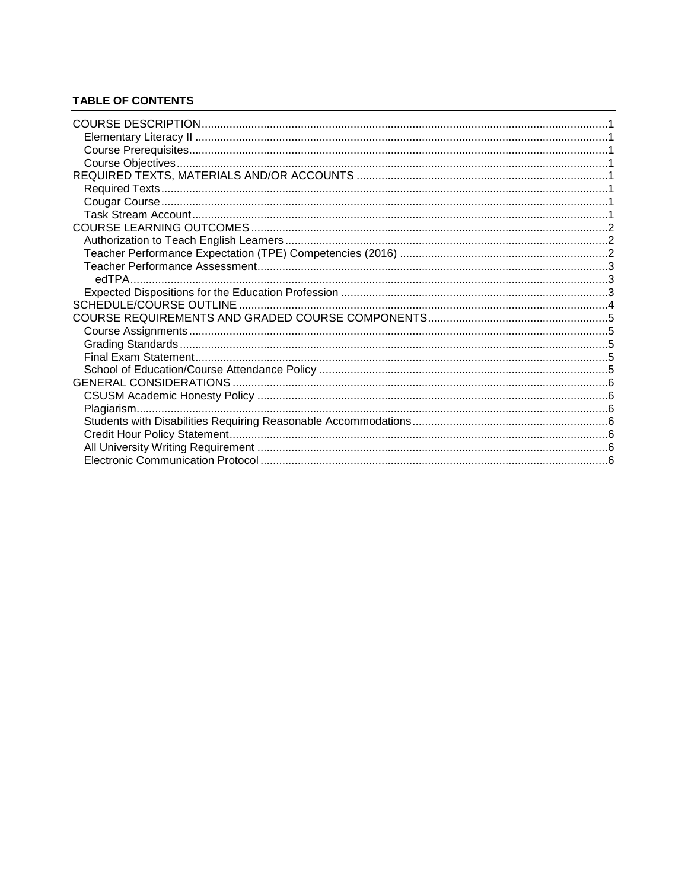# **TABLE OF CONTENTS**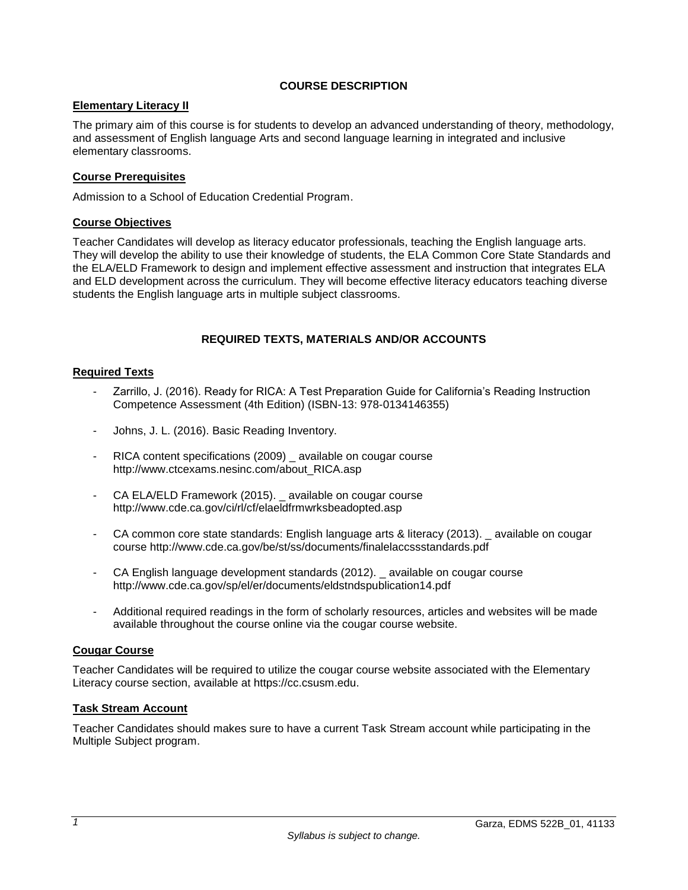# **COURSE DESCRIPTION**

# <span id="page-2-1"></span><span id="page-2-0"></span>**Elementary Literacy II**

The primary aim of this course is for students to develop an advanced understanding of theory, methodology, and assessment of English language Arts and second language learning in integrated and inclusive elementary classrooms.

# <span id="page-2-2"></span>**Course Prerequisites**

Admission to a School of Education Credential Program.

## <span id="page-2-3"></span>**Course Objectives**

Teacher Candidates will develop as literacy educator professionals, teaching the English language arts. They will develop the ability to use their knowledge of students, the ELA Common Core State Standards and the ELA/ELD Framework to design and implement effective assessment and instruction that integrates ELA and ELD development across the curriculum. They will become effective literacy educators teaching diverse students the English language arts in multiple subject classrooms.

## **REQUIRED TEXTS, MATERIALS AND/OR ACCOUNTS**

## <span id="page-2-5"></span><span id="page-2-4"></span>**Required Texts**

- Zarrillo, J. (2016). Ready for RICA: A Test Preparation Guide for California's Reading Instruction Competence Assessment (4th Edition) (ISBN-13: 978-0134146355)
- Johns, J. L. (2016). Basic Reading Inventory.
- RICA content specifications (2009) \_ available on cougar course http://www.ctcexams.nesinc.com/about\_RICA.asp
- CA ELA/ELD Framework (2015). available on cougar course http://www.cde.ca.gov/ci/rl/cf/elaeldfrmwrksbeadopted.asp
- CA common core state standards: English language arts & literacy (2013). \_ available on cougar course http://www.cde.ca.gov/be/st/ss/documents/finalelaccssstandards.pdf
- CA English language development standards (2012). available on cougar course http://www.cde.ca.gov/sp/el/er/documents/eldstndspublication14.pdf
- Additional required readings in the form of scholarly resources, articles and websites will be made available throughout the course online via the cougar course website.

## <span id="page-2-6"></span>**Cougar Course**

Teacher Candidates will be required to utilize the cougar course website associated with the Elementary Literacy course section, available at https://cc.csusm.edu.

## <span id="page-2-7"></span>**Task Stream Account**

Teacher Candidates should makes sure to have a current Task Stream account while participating in the Multiple Subject program.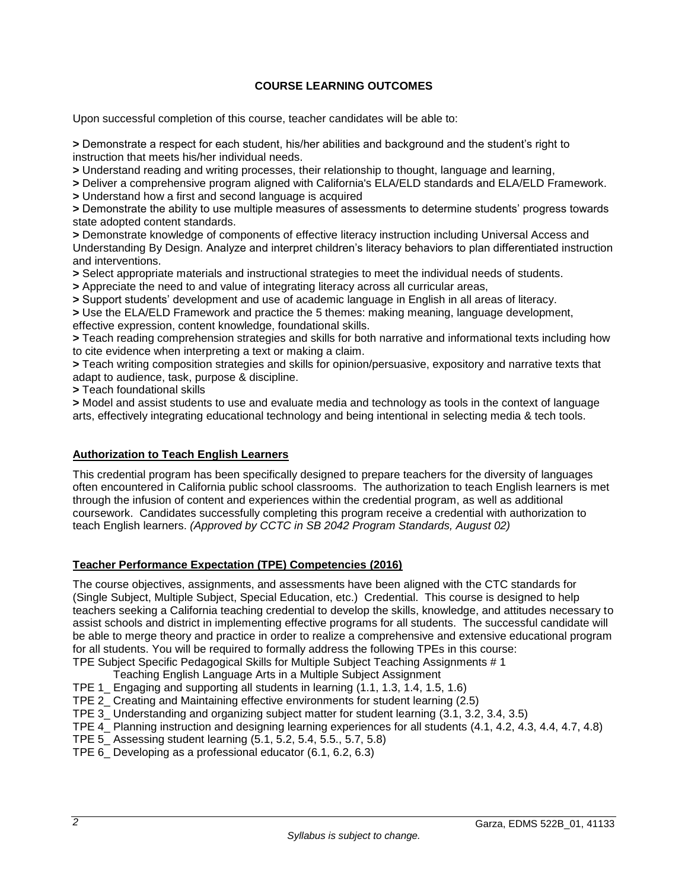# **COURSE LEARNING OUTCOMES**

<span id="page-3-0"></span>Upon successful completion of this course, teacher candidates will be able to:

**>** Demonstrate a respect for each student, his/her abilities and background and the student's right to instruction that meets his/her individual needs.

**>** Understand reading and writing processes, their relationship to thought, language and learning,

**>** Deliver a comprehensive program aligned with California's ELA/ELD standards and ELA/ELD Framework.

**>** Understand how a first and second language is acquired

**>** Demonstrate the ability to use multiple measures of assessments to determine students' progress towards state adopted content standards.

**>** Demonstrate knowledge of components of effective literacy instruction including Universal Access and Understanding By Design. Analyze and interpret children's literacy behaviors to plan differentiated instruction and interventions.

**>** Select appropriate materials and instructional strategies to meet the individual needs of students.

**>** Appreciate the need to and value of integrating literacy across all curricular areas,

**>** Support students' development and use of academic language in English in all areas of literacy.

**>** Use the ELA/ELD Framework and practice the 5 themes: making meaning, language development, effective expression, content knowledge, foundational skills.

**>** Teach reading comprehension strategies and skills for both narrative and informational texts including how to cite evidence when interpreting a text or making a claim.

**>** Teach writing composition strategies and skills for opinion/persuasive, expository and narrative texts that adapt to audience, task, purpose & discipline.

**>** Teach foundational skills

**>** Model and assist students to use and evaluate media and technology as tools in the context of language arts, effectively integrating educational technology and being intentional in selecting media & tech tools.

## <span id="page-3-1"></span>**Authorization to Teach English Learners**

This credential program has been specifically designed to prepare teachers for the diversity of languages often encountered in California public school classrooms. The authorization to teach English learners is met through the infusion of content and experiences within the credential program, as well as additional coursework. Candidates successfully completing this program receive a credential with authorization to teach English learners. *(Approved by CCTC in SB 2042 Program Standards, August 02)*

## <span id="page-3-2"></span>**Teacher Performance Expectation (TPE) Competencies (2016)**

The course objectives, assignments, and assessments have been aligned with the CTC standards for (Single Subject, Multiple Subject, Special Education, etc.) Credential. This course is designed to help teachers seeking a California teaching credential to develop the skills, knowledge, and attitudes necessary to assist schools and district in implementing effective programs for all students. The successful candidate will be able to merge theory and practice in order to realize a comprehensive and extensive educational program for all students. You will be required to formally address the following TPEs in this course: TPE Subject Specific Pedagogical Skills for Multiple Subject Teaching Assignments # 1

Teaching English Language Arts in a Multiple Subject Assignment

- TPE 1\_ Engaging and supporting all students in learning (1.1, 1.3, 1.4, 1.5, 1.6)
- TPE 2\_ Creating and Maintaining effective environments for student learning (2.5)
- TPE 3\_ Understanding and organizing subject matter for student learning (3.1, 3.2, 3.4, 3.5)
- TPE 4\_ Planning instruction and designing learning experiences for all students (4.1, 4.2, 4.3, 4.4, 4.7, 4.8)
- TPE 5\_ Assessing student learning (5.1, 5.2, 5.4, 5.5., 5.7, 5.8)
- TPE 6\_ Developing as a professional educator (6.1, 6.2, 6.3)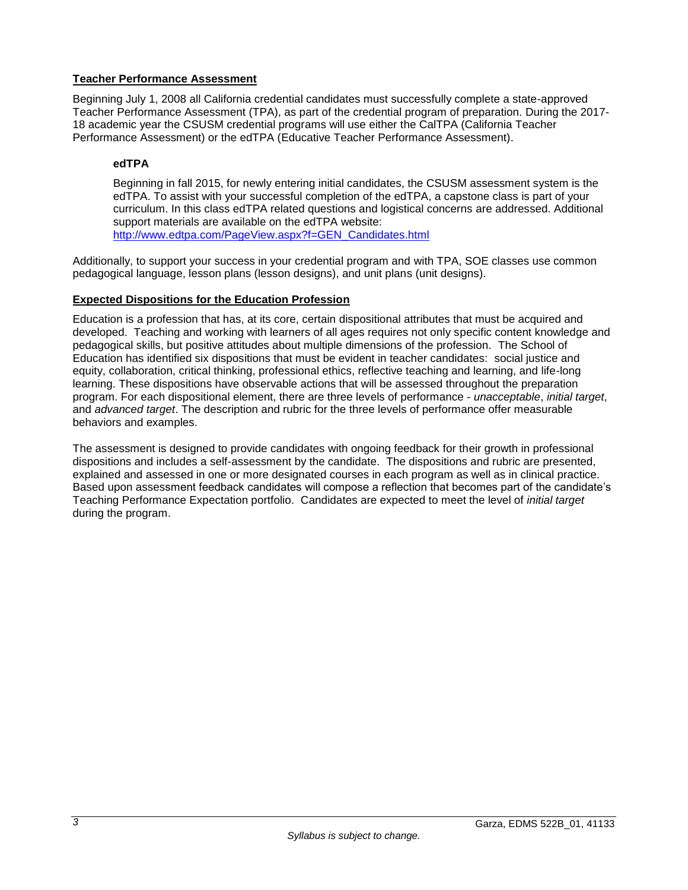# <span id="page-4-0"></span>**Teacher Performance Assessment**

Beginning July 1, 2008 all California credential candidates must successfully complete a state-approved Teacher Performance Assessment (TPA), as part of the credential program of preparation. During the 2017- 18 academic year the CSUSM credential programs will use either the CalTPA (California Teacher Performance Assessment) or the edTPA (Educative Teacher Performance Assessment).

# <span id="page-4-1"></span>**edTPA**

Beginning in fall 2015, for newly entering initial candidates, the CSUSM assessment system is the edTPA. To assist with your successful completion of the edTPA, a capstone class is part of your curriculum. In this class edTPA related questions and logistical concerns are addressed. Additional support materials are available on the edTPA website: [http://www.edtpa.com/PageView.aspx?f=GEN\\_Candidates.html](http://www.edtpa.com/PageView.aspx?f=GEN_Candidates.html)

Additionally, to support your success in your credential program and with TPA, SOE classes use common pedagogical language, lesson plans (lesson designs), and unit plans (unit designs).

# <span id="page-4-2"></span>**Expected Dispositions for the Education Profession**

Education is a profession that has, at its core, certain dispositional attributes that must be acquired and developed. Teaching and working with learners of all ages requires not only specific content knowledge and pedagogical skills, but positive attitudes about multiple dimensions of the profession. The School of Education has identified six dispositions that must be evident in teacher candidates: social justice and equity, collaboration, critical thinking, professional ethics, reflective teaching and learning, and life-long learning. These dispositions have observable actions that will be assessed throughout the preparation program. For each dispositional element, there are three levels of performance - *unacceptable*, *initial target*, and *advanced target*. The description and rubric for the three levels of performance offer measurable behaviors and examples.

The assessment is designed to provide candidates with ongoing feedback for their growth in professional dispositions and includes a self-assessment by the candidate. The dispositions and rubric are presented, explained and assessed in one or more designated courses in each program as well as in clinical practice. Based upon assessment feedback candidates will compose a reflection that becomes part of the candidate's Teaching Performance Expectation portfolio. Candidates are expected to meet the level of *initial target* during the program.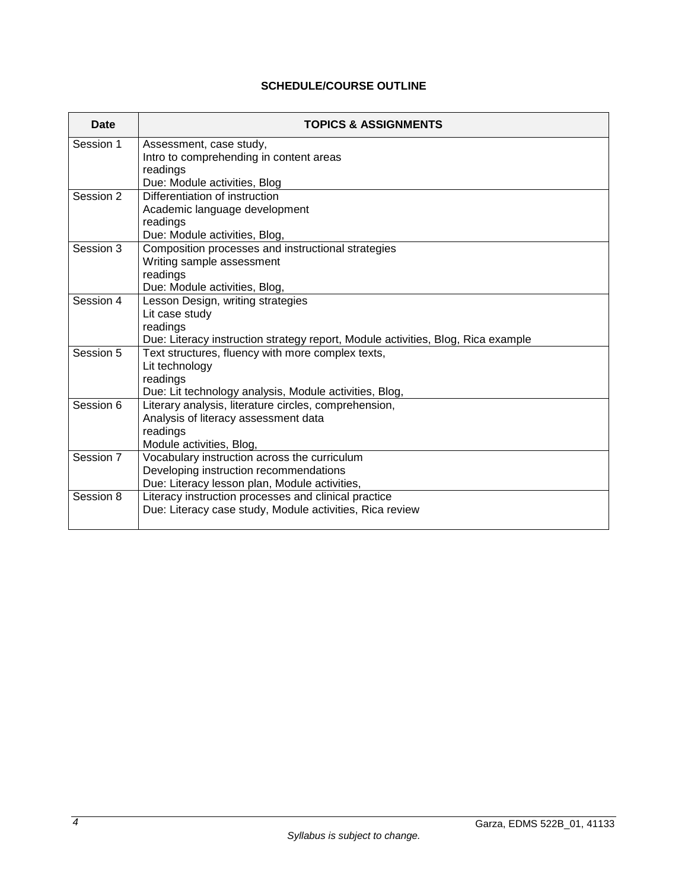# **SCHEDULE/COURSE OUTLINE**

<span id="page-5-0"></span>

| Date      | <b>TOPICS &amp; ASSIGNMENTS</b>                                                  |  |
|-----------|----------------------------------------------------------------------------------|--|
| Session 1 | Assessment, case study,                                                          |  |
|           | Intro to comprehending in content areas                                          |  |
|           | readings                                                                         |  |
|           | Due: Module activities, Blog                                                     |  |
| Session 2 | Differentiation of instruction                                                   |  |
|           | Academic language development                                                    |  |
|           | readings                                                                         |  |
|           | Due: Module activities, Blog,                                                    |  |
|           | Composition processes and instructional strategies<br>Session 3                  |  |
|           | Writing sample assessment                                                        |  |
|           | readings<br>Due: Module activities, Blog,                                        |  |
| Session 4 | Lesson Design, writing strategies                                                |  |
|           | Lit case study                                                                   |  |
|           | readings                                                                         |  |
|           | Due: Literacy instruction strategy report, Module activities, Blog, Rica example |  |
| Session 5 | Text structures, fluency with more complex texts,                                |  |
|           | Lit technology                                                                   |  |
|           | readings                                                                         |  |
|           | Due: Lit technology analysis, Module activities, Blog,                           |  |
| Session 6 | Literary analysis, literature circles, comprehension,                            |  |
|           | Analysis of literacy assessment data                                             |  |
|           | readings                                                                         |  |
|           | Module activities, Blog,                                                         |  |
| Session 7 | Vocabulary instruction across the curriculum                                     |  |
|           | Developing instruction recommendations                                           |  |
|           | Due: Literacy lesson plan, Module activities,                                    |  |
| Session 8 | Literacy instruction processes and clinical practice                             |  |
|           | Due: Literacy case study, Module activities, Rica review                         |  |
|           |                                                                                  |  |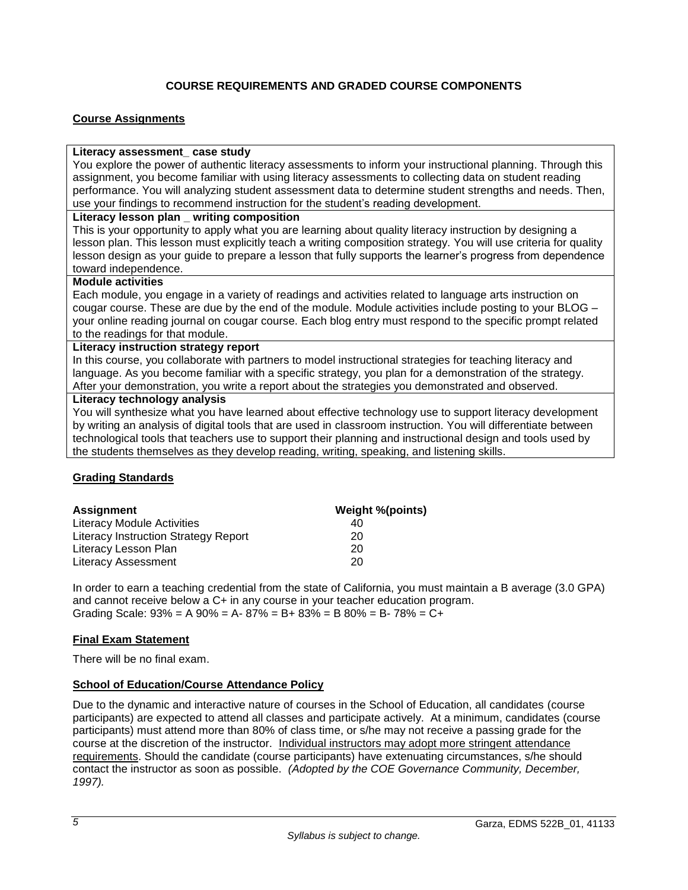# **COURSE REQUIREMENTS AND GRADED COURSE COMPONENTS**

## <span id="page-6-1"></span><span id="page-6-0"></span>**Course Assignments**

### **Literacy assessment\_ case study**

You explore the power of authentic literacy assessments to inform your instructional planning. Through this assignment, you become familiar with using literacy assessments to collecting data on student reading performance. You will analyzing student assessment data to determine student strengths and needs. Then, use your findings to recommend instruction for the student's reading development.

## **Literacy lesson plan \_ writing composition**

This is your opportunity to apply what you are learning about quality literacy instruction by designing a lesson plan. This lesson must explicitly teach a writing composition strategy. You will use criteria for quality lesson design as your guide to prepare a lesson that fully supports the learner's progress from dependence toward independence.

### **Module activities**

Each module, you engage in a variety of readings and activities related to language arts instruction on cougar course. These are due by the end of the module. Module activities include posting to your BLOG – your online reading journal on cougar course. Each blog entry must respond to the specific prompt related to the readings for that module.

### **Literacy instruction strategy report**

In this course, you collaborate with partners to model instructional strategies for teaching literacy and language. As you become familiar with a specific strategy, you plan for a demonstration of the strategy. After your demonstration, you write a report about the strategies you demonstrated and observed.

## **Literacy technology analysis**

You will synthesize what you have learned about effective technology use to support literacy development by writing an analysis of digital tools that are used in classroom instruction. You will differentiate between technological tools that teachers use to support their planning and instructional design and tools used by the students themselves as they develop reading, writing, speaking, and listening skills.

## <span id="page-6-2"></span>**Grading Standards**

| <b>Assignment</b>                           | <b>Weight %(points)</b> |
|---------------------------------------------|-------------------------|
| Literacy Module Activities                  | 40                      |
| <b>Literacy Instruction Strategy Report</b> | 20                      |
| Literacy Lesson Plan                        | 20                      |
| <b>Literacy Assessment</b>                  | 20                      |

In order to earn a teaching credential from the state of California, you must maintain a B average (3.0 GPA) and cannot receive below a C+ in any course in your teacher education program. Grading Scale:  $93\% = A\,90\% = A - 87\% = B + 83\% = B\,80\% = B - 78\% = C +$ 

## <span id="page-6-3"></span>**Final Exam Statement**

There will be no final exam.

## <span id="page-6-4"></span>**School of Education/Course Attendance Policy**

Due to the dynamic and interactive nature of courses in the School of Education, all candidates (course participants) are expected to attend all classes and participate actively. At a minimum, candidates (course participants) must attend more than 80% of class time, or s/he may not receive a passing grade for the course at the discretion of the instructor. Individual instructors may adopt more stringent attendance requirements. Should the candidate (course participants) have extenuating circumstances, s/he should contact the instructor as soon as possible. *(Adopted by the COE Governance Community, December, 1997).*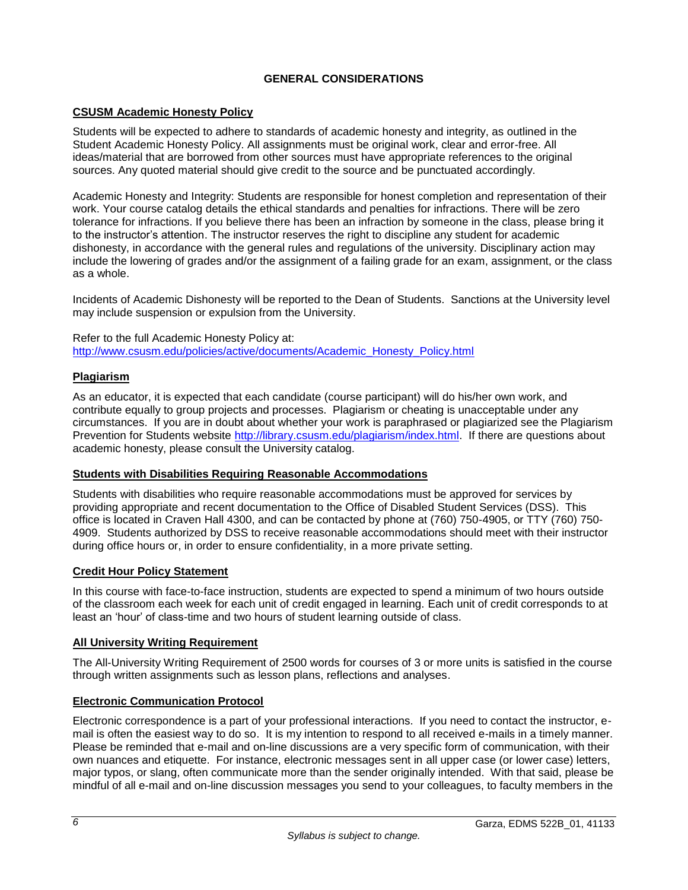# **GENERAL CONSIDERATIONS**

## <span id="page-7-1"></span><span id="page-7-0"></span>**CSUSM Academic Honesty Policy**

Students will be expected to adhere to standards of academic honesty and integrity, as outlined in the Student Academic Honesty Policy. All assignments must be original work, clear and error-free. All ideas/material that are borrowed from other sources must have appropriate references to the original sources. Any quoted material should give credit to the source and be punctuated accordingly.

Academic Honesty and Integrity: Students are responsible for honest completion and representation of their work. Your course catalog details the ethical standards and penalties for infractions. There will be zero tolerance for infractions. If you believe there has been an infraction by someone in the class, please bring it to the instructor's attention. The instructor reserves the right to discipline any student for academic dishonesty, in accordance with the general rules and regulations of the university. Disciplinary action may include the lowering of grades and/or the assignment of a failing grade for an exam, assignment, or the class as a whole.

Incidents of Academic Dishonesty will be reported to the Dean of Students. Sanctions at the University level may include suspension or expulsion from the University.

Refer to the full Academic Honesty Policy at: [http://www.csusm.edu/policies/active/documents/Academic\\_Honesty\\_Policy.html](http://www.csusm.edu/policies/active/documents/Academic_Honesty_Policy.html)

## <span id="page-7-2"></span>**Plagiarism**

As an educator, it is expected that each candidate (course participant) will do his/her own work, and contribute equally to group projects and processes. Plagiarism or cheating is unacceptable under any circumstances. If you are in doubt about whether your work is paraphrased or plagiarized see the Plagiarism Prevention for Students website [http://library.csusm.edu/plagiarism/index.html.](http://library.csusm.edu/plagiarism/index.html) If there are questions about academic honesty, please consult the University catalog.

### <span id="page-7-3"></span>**Students with Disabilities Requiring Reasonable Accommodations**

Students with disabilities who require reasonable accommodations must be approved for services by providing appropriate and recent documentation to the Office of Disabled Student Services (DSS). This office is located in Craven Hall 4300, and can be contacted by phone at (760) 750-4905, or TTY (760) 750- 4909. Students authorized by DSS to receive reasonable accommodations should meet with their instructor during office hours or, in order to ensure confidentiality, in a more private setting.

### <span id="page-7-4"></span>**Credit Hour Policy Statement**

In this course with face-to-face instruction, students are expected to spend a minimum of two hours outside of the classroom each week for each unit of credit engaged in learning. Each unit of credit corresponds to at least an 'hour' of class-time and two hours of student learning outside of class.

### <span id="page-7-5"></span>**All University Writing Requirement**

The All-University Writing Requirement of 2500 words for courses of 3 or more units is satisfied in the course through written assignments such as lesson plans, reflections and analyses.

### <span id="page-7-6"></span>**Electronic Communication Protocol**

Electronic correspondence is a part of your professional interactions. If you need to contact the instructor, email is often the easiest way to do so. It is my intention to respond to all received e-mails in a timely manner. Please be reminded that e-mail and on-line discussions are a very specific form of communication, with their own nuances and etiquette. For instance, electronic messages sent in all upper case (or lower case) letters, major typos, or slang, often communicate more than the sender originally intended. With that said, please be mindful of all e-mail and on-line discussion messages you send to your colleagues, to faculty members in the